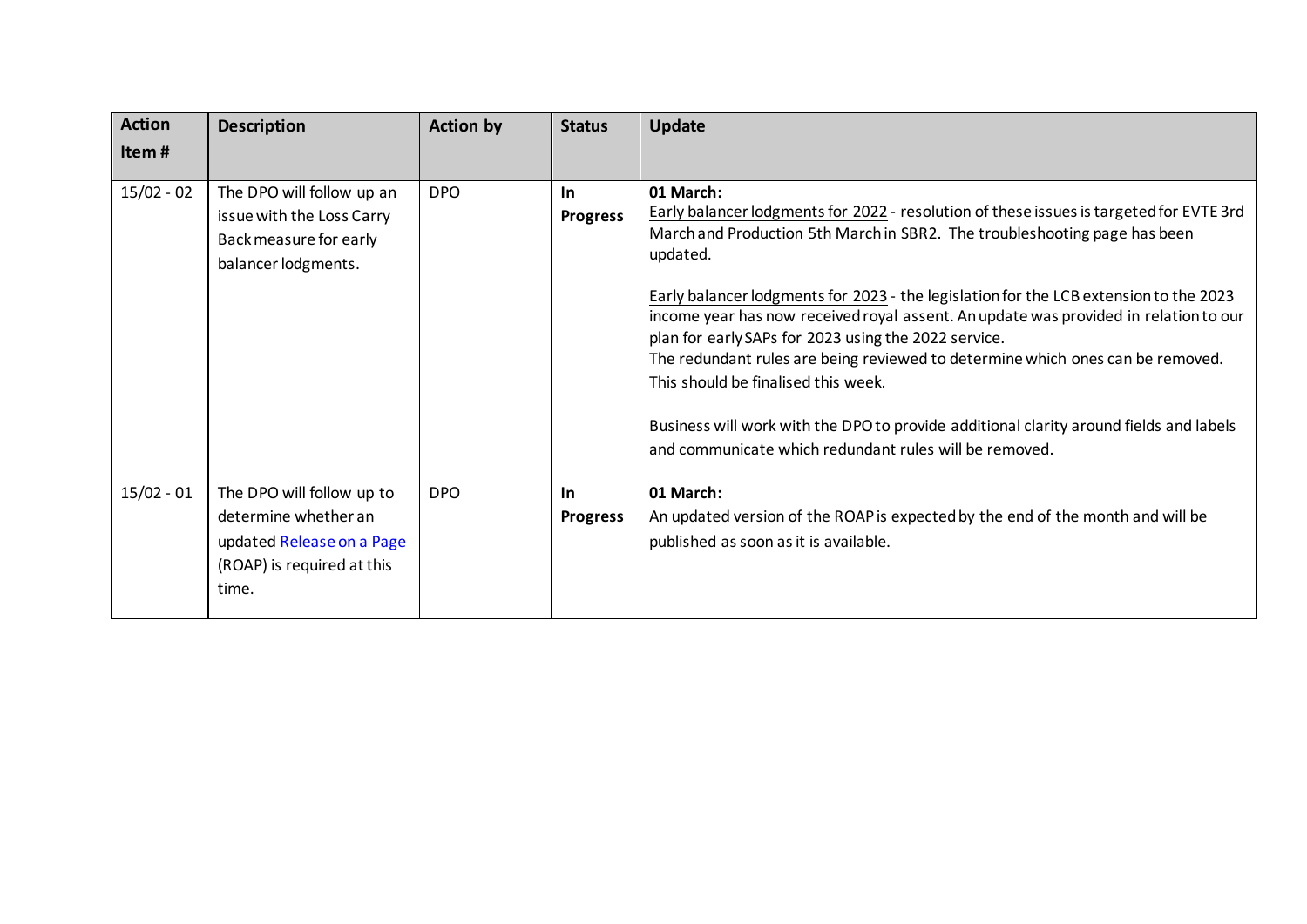| <b>Action</b><br>Item# | <b>Description</b>                                                                                                    | <b>Action by</b> | <b>Status</b>          | <b>Update</b>                                                                                                                                                                                                                                                                                                                                                                                                                                                                                                                                                                                                                                                                                                       |
|------------------------|-----------------------------------------------------------------------------------------------------------------------|------------------|------------------------|---------------------------------------------------------------------------------------------------------------------------------------------------------------------------------------------------------------------------------------------------------------------------------------------------------------------------------------------------------------------------------------------------------------------------------------------------------------------------------------------------------------------------------------------------------------------------------------------------------------------------------------------------------------------------------------------------------------------|
| $15/02 - 02$           | The DPO will follow up an<br>issue with the Loss Carry<br>Back measure for early<br>balancer lodgments.               | <b>DPO</b>       | In.<br><b>Progress</b> | 01 March:<br>Early balancer lodgments for 2022 - resolution of these issues is targeted for EVTE 3rd<br>March and Production 5th March in SBR2. The troubleshooting page has been<br>updated.<br>Early balancer lodgments for 2023 - the legislation for the LCB extension to the 2023<br>income year has now received royal assent. An update was provided in relation to our<br>plan for early SAPs for 2023 using the 2022 service.<br>The redundant rules are being reviewed to determine which ones can be removed.<br>This should be finalised this week.<br>Business will work with the DPO to provide additional clarity around fields and labels<br>and communicate which redundant rules will be removed. |
| $15/02 - 01$           | The DPO will follow up to<br>determine whether an<br>updated Release on a Page<br>(ROAP) is required at this<br>time. | <b>DPO</b>       | In<br><b>Progress</b>  | 01 March:<br>An updated version of the ROAP is expected by the end of the month and will be<br>published as soon as it is available.                                                                                                                                                                                                                                                                                                                                                                                                                                                                                                                                                                                |